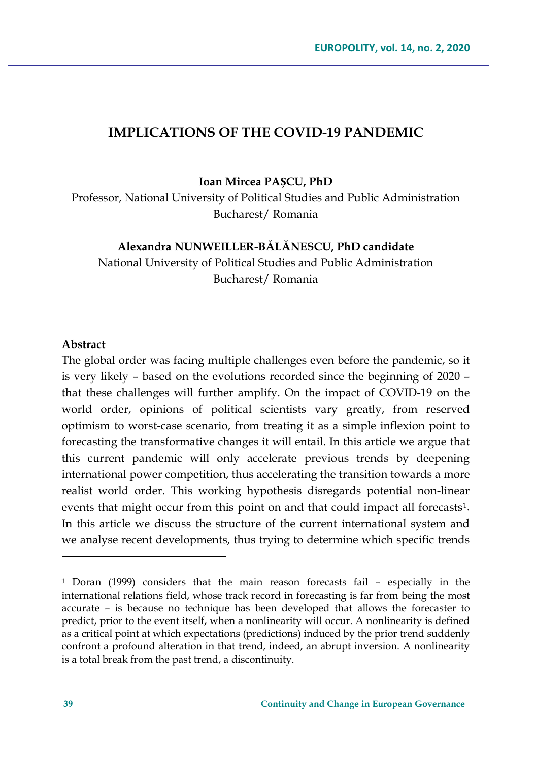#### **IMPLICATIONS OF THE COVID-19 PANDEMIC**

**Ioan Mircea PAȘCU, PhD**

Professor, National University of Political Studies and Public Administration Bucharest/ Romania

#### **Alexandra NUNWEILLER-BĂLĂNESCU, PhD candidate**

National University of Political Studies and Public Administration Bucharest/ Romania

#### **Abstract**

The global order was facing multiple challenges even before the pandemic, so it is very likely – based on the evolutions recorded since the beginning of 2020 – that these challenges will further amplify. On the impact of COVID-19 on the world order, opinions of political scientists vary greatly, from reserved optimism to worst-case scenario, from treating it as a simple inflexion point to forecasting the transformative changes it will entail. In this article we argue that this current pandemic will only accelerate previous trends by deepening international power competition, thus accelerating the transition towards a more realist world order. This working hypothesis disregards potential non-linear events that might occur from this point on and that could impact all forecasts<sup>1</sup>. In this article we discuss the structure of the current international system and we analyse recent developments, thus trying to determine which specific trends

<span id="page-0-0"></span><sup>1</sup> Doran (1999) considers that the main reason forecasts fail – especially in the international relations field, whose track record in forecasting is far from being the most accurate – is because no technique has been developed that allows the forecaster to predict, prior to the event itself, when a nonlinearity will occur. A nonlinearity is defined as a critical point at which expectations (predictions) induced by the prior trend suddenly confront a profound alteration in that trend, indeed, an abrupt inversion. A nonlinearity is a total break from the past trend, a discontinuity.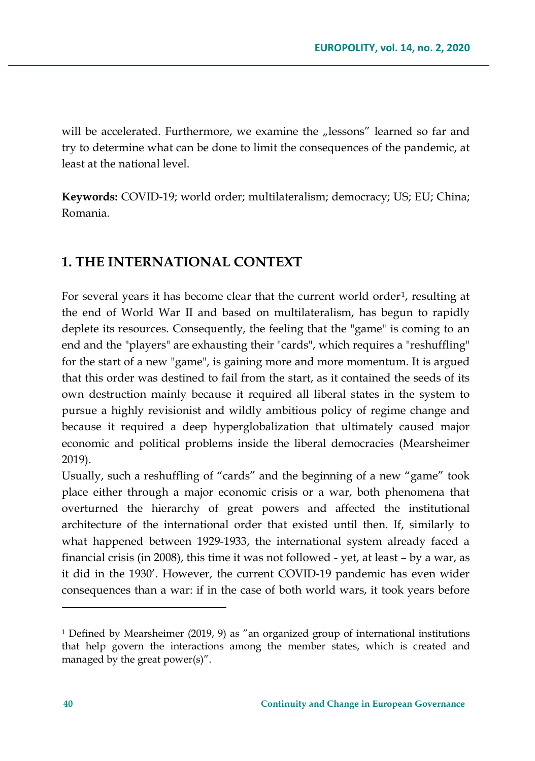will be accelerated. Furthermore, we examine the "lessons" learned so far and try to determine what can be done to limit the consequences of the pandemic, at least at the national level.

**Keywords:** COVID-19; world order; multilateralism; democracy; US; EU; China; Romania.

# **1. THE INTERNATIONAL CONTEXT**

For several years it has become clear that the current world order<sup>[1](#page-1-0)</sup>, resulting at the end of World War II and based on multilateralism, has begun to rapidly deplete its resources. Consequently, the feeling that the "game" is coming to an end and the "players" are exhausting their "cards", which requires a "reshuffling" for the start of a new "game", is gaining more and more momentum. It is argued that this order was destined to fail from the start, as it contained the seeds of its own destruction mainly because it required all liberal states in the system to pursue a highly revisionist and wildly ambitious policy of regime change and because it required a deep hyperglobalization that ultimately caused major economic and political problems inside the liberal democracies (Mearsheimer 2019).

Usually, such a reshuffling of "cards" and the beginning of a new "game" took place either through a major economic crisis or a war, both phenomena that overturned the hierarchy of great powers and affected the institutional architecture of the international order that existed until then. If, similarly to what happened between 1929-1933, the international system already faced a financial crisis (in 2008), this time it was not followed - yet, at least – by a war, as it did in the 1930'. However, the current COVID-19 pandemic has even wider consequences than a war: if in the case of both world wars, it took years before

<span id="page-1-0"></span><sup>1</sup> Defined by Mearsheimer (2019, 9) as "an organized group of international institutions that help govern the interactions among the member states, which is created and managed by the great power(s)".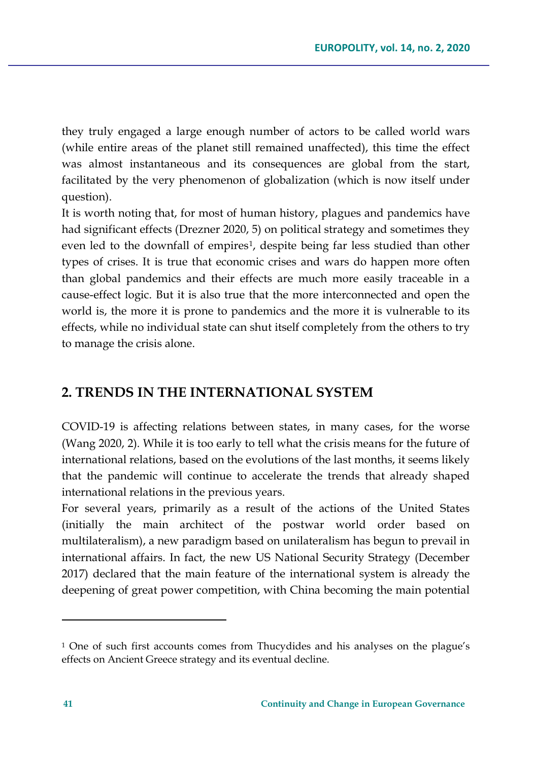they truly engaged a large enough number of actors to be called world wars (while entire areas of the planet still remained unaffected), this time the effect was almost instantaneous and its consequences are global from the start, facilitated by the very phenomenon of globalization (which is now itself under question).

It is worth noting that, for most of human history, plagues and pandemics have had significant effects (Drezner 2020, 5) on political strategy and sometimes they even led to the downfall of empires<sup>[1](#page-2-0)</sup>, despite being far less studied than other types of crises. It is true that economic crises and wars do happen more often than global pandemics and their effects are much more easily traceable in a cause-effect logic. But it is also true that the more interconnected and open the world is, the more it is prone to pandemics and the more it is vulnerable to its effects, while no individual state can shut itself completely from the others to try to manage the crisis alone.

#### **2. TRENDS IN THE INTERNATIONAL SYSTEM**

COVID-19 is affecting relations between states, in many cases, for the worse (Wang 2020, 2). While it is too early to tell what the crisis means for the future of international relations, based on the evolutions of the last months, it seems likely that the pandemic will continue to accelerate the trends that already shaped international relations in the previous years.

For several years, primarily as a result of the actions of the United States (initially the main architect of the postwar world order based on multilateralism), a new paradigm based on unilateralism has begun to prevail in international affairs. In fact, the new US National Security Strategy (December 2017) declared that the main feature of the international system is already the deepening of great power competition, with China becoming the main potential

<span id="page-2-0"></span><sup>1</sup> One of such first accounts comes from Thucydides and his analyses on the plague's effects on Ancient Greece strategy and its eventual decline.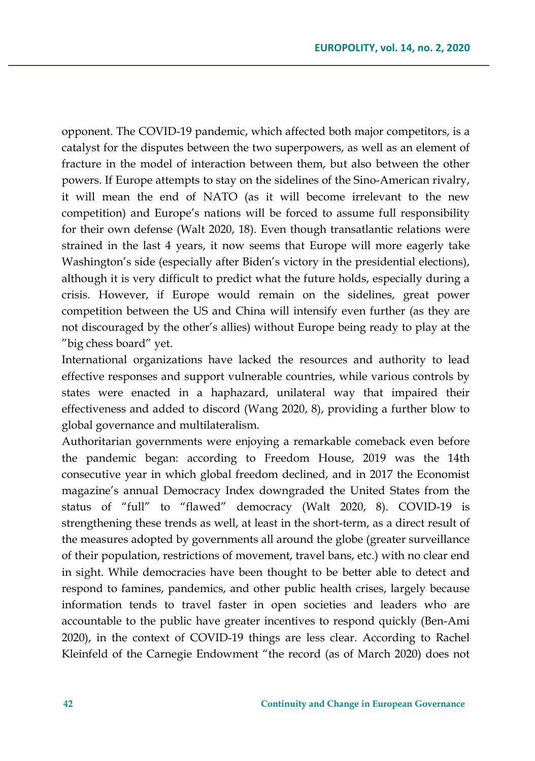opponent. The COVID-19 pandemic, which affected both major competitors, is a catalyst for the disputes between the two superpowers, as well as an element of fracture in the model of interaction between them, but also between the other powers. If Europe attempts to stay on the sidelines of the Sino-American rivalry, it will mean the end of NATO (as it will become irrelevant to the new competition) and Europe's nations will be forced to assume full responsibility for their own defense (Walt 2020, 18). Even though transatlantic relations were strained in the last 4 years, it now seems that Europe will more eagerly take Washington's side (especially after Biden's victory in the presidential elections), although it is very difficult to predict what the future holds, especially during a crisis. However, if Europe would remain on the sidelines, great power competition between the US and China will intensify even further (as they are not discouraged by the other's allies) without Europe being ready to play at the "big chess board" yet.

International organizations have lacked the resources and authority to lead effective responses and support vulnerable countries, while various controls by states were enacted in a haphazard, unilateral way that impaired their effectiveness and added to discord (Wang 2020, 8), providing a further blow to global governance and multilateralism.

Authoritarian governments were enjoying a remarkable comeback even before the pandemic began: according to Freedom House, 2019 was the 14th consecutive year in which global freedom declined, and in 2017 the Economist magazine's annual Democracy Index downgraded the United States from the status of "full" to "flawed" democracy (Walt 2020, 8). COVID-19 is strengthening these trends as well, at least in the short-term, as a direct result of the measures adopted by governments all around the globe (greater surveillance of their population, restrictions of movement, travel bans, etc.) with no clear end in sight. While democracies have been thought to be better able to detect and respond to famines, pandemics, and other public health crises, largely because information tends to travel faster in open societies and leaders who are accountable to the public have greater incentives to respond quickly (Ben-Ami 2020), in the context of COVID-19 things are less clear. According to Rachel Kleinfeld of the Carnegie Endowment "the record (as of March 2020) does not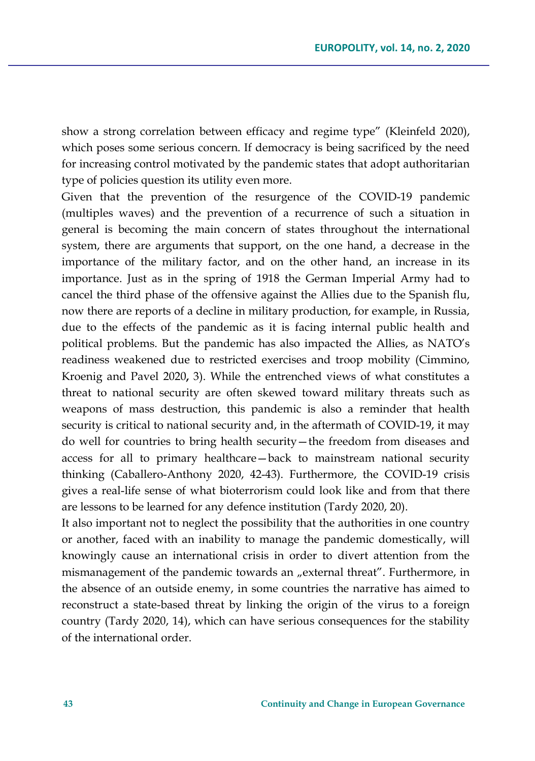show a strong correlation between efficacy and regime type" (Kleinfeld 2020), which poses some serious concern. If democracy is being sacrificed by the need for increasing control motivated by the pandemic states that adopt authoritarian type of policies question its utility even more.

Given that the prevention of the resurgence of the COVID-19 pandemic (multiples waves) and the prevention of a recurrence of such a situation in general is becoming the main concern of states throughout the international system, there are arguments that support, on the one hand, a decrease in the importance of the military factor, and on the other hand, an increase in its importance. Just as in the spring of 1918 the German Imperial Army had to cancel the third phase of the offensive against the Allies due to the Spanish flu, now there are reports of a decline in military production, for example, in Russia, due to the effects of the pandemic as it is facing internal public health and political problems. But the pandemic has also impacted the Allies, as NATO's readiness weakened due to restricted exercises and troop mobility (Cimmino, Kroenig and Pavel 2020**,** 3). While the entrenched views of what constitutes a threat to national security are often skewed toward military threats such as weapons of mass destruction, this pandemic is also a reminder that health security is critical to national security and, in the aftermath of COVID-19, it may do well for countries to bring health security—the freedom from diseases and access for all to primary healthcare—back to mainstream national security thinking (Caballero-Anthony 2020, 42-43). Furthermore, the COVID-19 crisis gives a real-life sense of what bioterrorism could look like and from that there are lessons to be learned for any defence institution (Tardy 2020, 20).

It also important not to neglect the possibility that the authorities in one country or another, faced with an inability to manage the pandemic domestically, will knowingly cause an international crisis in order to divert attention from the mismanagement of the pandemic towards an "external threat". Furthermore, in the absence of an outside enemy, in some countries the narrative has aimed to reconstruct a state-based threat by linking the origin of the virus to a foreign country (Tardy 2020, 14), which can have serious consequences for the stability of the international order.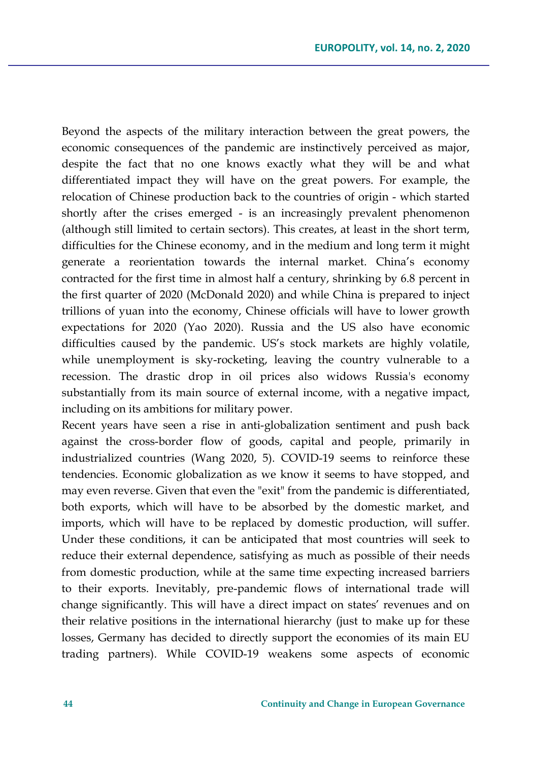Beyond the aspects of the military interaction between the great powers, the economic consequences of the pandemic are instinctively perceived as major, despite the fact that no one knows exactly what they will be and what differentiated impact they will have on the great powers. For example, the relocation of Chinese production back to the countries of origin - which started shortly after the crises emerged - is an increasingly prevalent phenomenon (although still limited to certain sectors). This creates, at least in the short term, difficulties for the Chinese economy, and in the medium and long term it might generate a reorientation towards the internal market. China's economy contracted for the first time in almost half a century, shrinking by 6.8 percent in the first quarter of 2020 (McDonald 2020) and while China is prepared to inject trillions of yuan into the economy, Chinese officials will have to lower growth expectations for 2020 (Yao 2020). Russia and the US also have economic difficulties caused by the pandemic. US's stock markets are highly volatile, while unemployment is sky-rocketing, leaving the country vulnerable to a recession. The drastic drop in oil prices also widows Russia's economy substantially from its main source of external income, with a negative impact, including on its ambitions for military power.

Recent years have seen a rise in anti-globalization sentiment and push back against the cross-border flow of goods, capital and people, primarily in industrialized countries (Wang 2020, 5). COVID-19 seems to reinforce these tendencies. Economic globalization as we know it seems to have stopped, and may even reverse. Given that even the "exit" from the pandemic is differentiated, both exports, which will have to be absorbed by the domestic market, and imports, which will have to be replaced by domestic production, will suffer. Under these conditions, it can be anticipated that most countries will seek to reduce their external dependence, satisfying as much as possible of their needs from domestic production, while at the same time expecting increased barriers to their exports. Inevitably, pre-pandemic flows of international trade will change significantly. This will have a direct impact on states' revenues and on their relative positions in the international hierarchy (just to make up for these losses, Germany has decided to directly support the economies of its main EU trading partners). While COVID-19 weakens some aspects of economic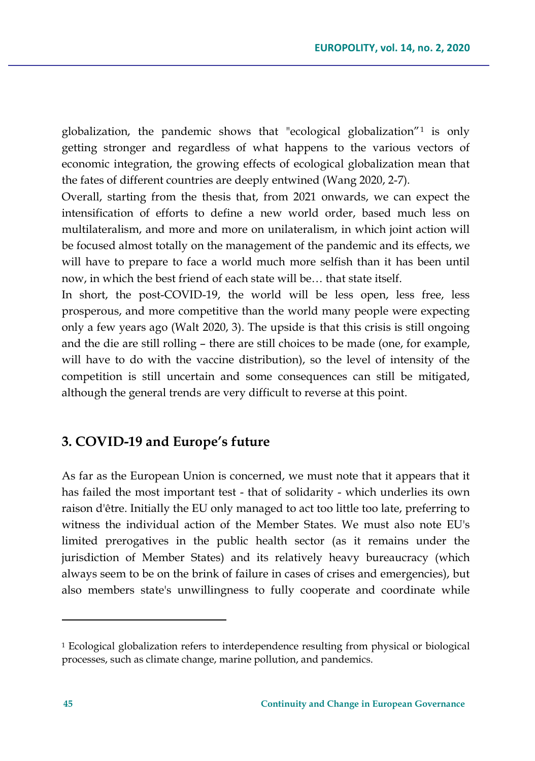globalization, the pandemic shows that "ecological globalization"[1](#page-6-0) is only getting stronger and regardless of what happens to the various vectors of economic integration, the growing effects of ecological globalization mean that the fates of different countries are deeply entwined (Wang 2020, 2-7).

Overall, starting from the thesis that, from 2021 onwards, we can expect the intensification of efforts to define a new world order, based much less on multilateralism, and more and more on unilateralism, in which joint action will be focused almost totally on the management of the pandemic and its effects, we will have to prepare to face a world much more selfish than it has been until now, in which the best friend of each state will be… that state itself.

In short, the post-COVID-19, the world will be less open, less free, less prosperous, and more competitive than the world many people were expecting only a few years ago (Walt 2020, 3). The upside is that this crisis is still ongoing and the die are still rolling – there are still choices to be made (one, for example, will have to do with the vaccine distribution), so the level of intensity of the competition is still uncertain and some consequences can still be mitigated, although the general trends are very difficult to reverse at this point.

### **3. COVID-19 and Europe's future**

As far as the European Union is concerned, we must note that it appears that it has failed the most important test - that of solidarity - which underlies its own raison d'être. Initially the EU only managed to act too little too late, preferring to witness the individual action of the Member States. We must also note EU's limited prerogatives in the public health sector (as it remains under the jurisdiction of Member States) and its relatively heavy bureaucracy (which always seem to be on the brink of failure in cases of crises and emergencies), but also members state's unwillingness to fully cooperate and coordinate while

<span id="page-6-0"></span><sup>1</sup> Ecological globalization refers to interdependence resulting from physical or biological processes, such as climate change, marine pollution, and pandemics.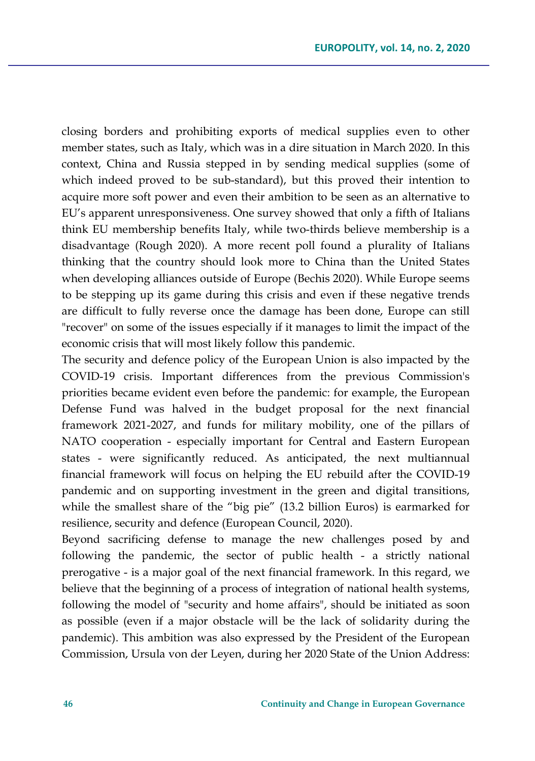closing borders and prohibiting exports of medical supplies even to other member states, such as Italy, which was in a dire situation in March 2020. In this context, China and Russia stepped in by sending medical supplies (some of which indeed proved to be sub-standard), but this proved their intention to acquire more soft power and even their ambition to be seen as an alternative to EU's apparent unresponsiveness. One survey showed that only a fifth of Italians think EU membership benefits Italy, while two-thirds believe membership is a disadvantage (Rough 2020). A more recent poll found a plurality of Italians thinking that the country should look more to China than the United States when developing alliances outside of Europe (Bechis 2020). While Europe seems to be stepping up its game during this crisis and even if these negative trends are difficult to fully reverse once the damage has been done, Europe can still "recover" on some of the issues especially if it manages to limit the impact of the economic crisis that will most likely follow this pandemic.

The security and defence policy of the European Union is also impacted by the COVID-19 crisis. Important differences from the previous Commission's priorities became evident even before the pandemic: for example, the European Defense Fund was halved in the budget proposal for the next financial framework 2021-2027, and funds for military mobility, one of the pillars of NATO cooperation - especially important for Central and Eastern European states - were significantly reduced. As anticipated, the next multiannual financial framework will focus on helping the EU rebuild after the COVID-19 pandemic and on supporting investment in the green and digital transitions, while the smallest share of the "big pie" (13.2 billion Euros) is earmarked for resilience, security and defence (European Council, 2020).

Beyond sacrificing defense to manage the new challenges posed by and following the pandemic, the sector of public health - a strictly national prerogative - is a major goal of the next financial framework. In this regard, we believe that the beginning of a process of integration of national health systems, following the model of "security and home affairs", should be initiated as soon as possible (even if a major obstacle will be the lack of solidarity during the pandemic). This ambition was also expressed by the President of the European Commission, Ursula von der Leyen, during her 2020 State of the Union Address: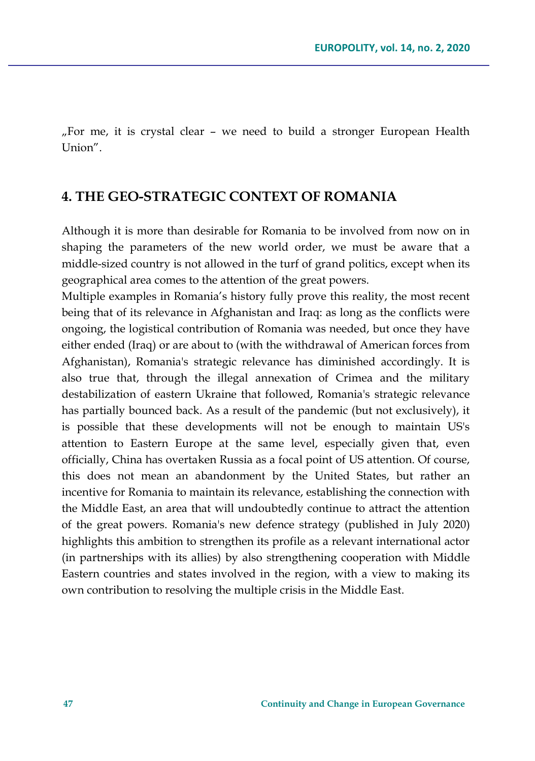"For me, it is crystal clear – we need to build a stronger European Health Union".

#### **4. THE GEO-STRATEGIC CONTEXT OF ROMANIA**

Although it is more than desirable for Romania to be involved from now on in shaping the parameters of the new world order, we must be aware that a middle-sized country is not allowed in the turf of grand politics, except when its geographical area comes to the attention of the great powers.

Multiple examples in Romania's history fully prove this reality, the most recent being that of its relevance in Afghanistan and Iraq: as long as the conflicts were ongoing, the logistical contribution of Romania was needed, but once they have either ended (Iraq) or are about to (with the withdrawal of American forces from Afghanistan), Romania's strategic relevance has diminished accordingly. It is also true that, through the illegal annexation of Crimea and the military destabilization of eastern Ukraine that followed, Romania's strategic relevance has partially bounced back. As a result of the pandemic (but not exclusively), it is possible that these developments will not be enough to maintain US's attention to Eastern Europe at the same level, especially given that, even officially, China has overtaken Russia as a focal point of US attention. Of course, this does not mean an abandonment by the United States, but rather an incentive for Romania to maintain its relevance, establishing the connection with the Middle East, an area that will undoubtedly continue to attract the attention of the great powers. Romania's new defence strategy (published in July 2020) highlights this ambition to strengthen its profile as a relevant international actor (in partnerships with its allies) by also strengthening cooperation with Middle Eastern countries and states involved in the region, with a view to making its own contribution to resolving the multiple crisis in the Middle East.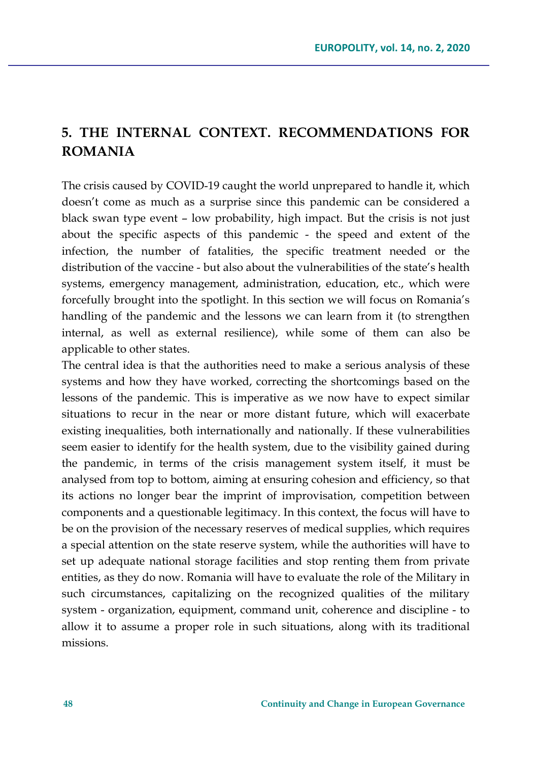# **5. THE INTERNAL CONTEXT. RECOMMENDATIONS FOR ROMANIA**

The crisis caused by COVID-19 caught the world unprepared to handle it, which doesn't come as much as a surprise since this pandemic can be considered a black swan type event – low probability, high impact. But the crisis is not just about the specific aspects of this pandemic - the speed and extent of the infection, the number of fatalities, the specific treatment needed or the distribution of the vaccine - but also about the vulnerabilities of the state's health systems, emergency management, administration, education, etc., which were forcefully brought into the spotlight. In this section we will focus on Romania's handling of the pandemic and the lessons we can learn from it (to strengthen internal, as well as external resilience), while some of them can also be applicable to other states.

The central idea is that the authorities need to make a serious analysis of these systems and how they have worked, correcting the shortcomings based on the lessons of the pandemic. This is imperative as we now have to expect similar situations to recur in the near or more distant future, which will exacerbate existing inequalities, both internationally and nationally. If these vulnerabilities seem easier to identify for the health system, due to the visibility gained during the pandemic, in terms of the crisis management system itself, it must be analysed from top to bottom, aiming at ensuring cohesion and efficiency, so that its actions no longer bear the imprint of improvisation, competition between components and a questionable legitimacy. In this context, the focus will have to be on the provision of the necessary reserves of medical supplies, which requires a special attention on the state reserve system, while the authorities will have to set up adequate national storage facilities and stop renting them from private entities, as they do now. Romania will have to evaluate the role of the Military in such circumstances, capitalizing on the recognized qualities of the military system - organization, equipment, command unit, coherence and discipline - to allow it to assume a proper role in such situations, along with its traditional missions.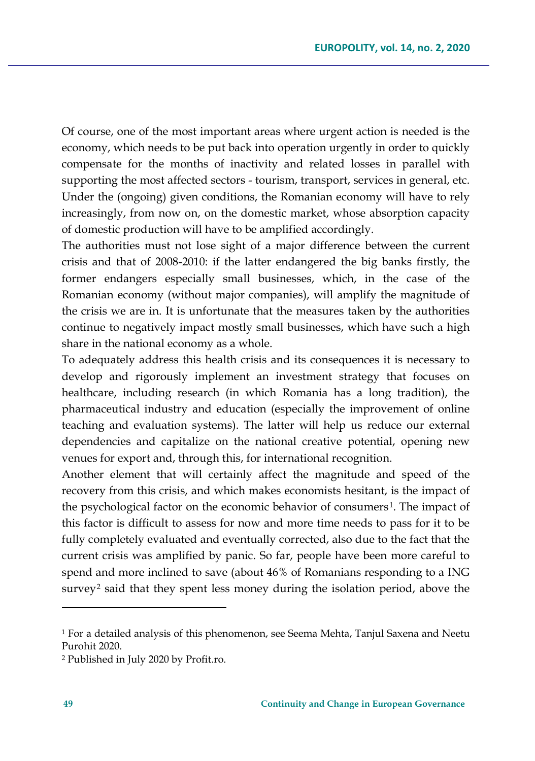Of course, one of the most important areas where urgent action is needed is the economy, which needs to be put back into operation urgently in order to quickly compensate for the months of inactivity and related losses in parallel with supporting the most affected sectors - tourism, transport, services in general, etc. Under the (ongoing) given conditions, the Romanian economy will have to rely increasingly, from now on, on the domestic market, whose absorption capacity of domestic production will have to be amplified accordingly.

The authorities must not lose sight of a major difference between the current crisis and that of 2008-2010: if the latter endangered the big banks firstly, the former endangers especially small businesses, which, in the case of the Romanian economy (without major companies), will amplify the magnitude of the crisis we are in. It is unfortunate that the measures taken by the authorities continue to negatively impact mostly small businesses, which have such a high share in the national economy as a whole.

To adequately address this health crisis and its consequences it is necessary to develop and rigorously implement an investment strategy that focuses on healthcare, including research (in which Romania has a long tradition), the pharmaceutical industry and education (especially the improvement of online teaching and evaluation systems). The latter will help us reduce our external dependencies and capitalize on the national creative potential, opening new venues for export and, through this, for international recognition.

Another element that will certainly affect the magnitude and speed of the recovery from this crisis, and which makes economists hesitant, is the impact of the psychological factor on the economic behavior of consumers<sup>[1](#page-10-0)</sup>. The impact of this factor is difficult to assess for now and more time needs to pass for it to be fully completely evaluated and eventually corrected, also due to the fact that the current crisis was amplified by panic. So far, people have been more careful to spend and more inclined to save (about 46% of Romanians responding to a ING survey<sup>[2](#page-10-1)</sup> said that they spent less money during the isolation period, above the

<span id="page-10-0"></span><sup>1</sup> For a detailed analysis of this phenomenon, see Seema Mehta, Tanjul Saxena and Neetu Purohit 2020.

<span id="page-10-1"></span><sup>2</sup> Published in July 2020 by Profit.ro.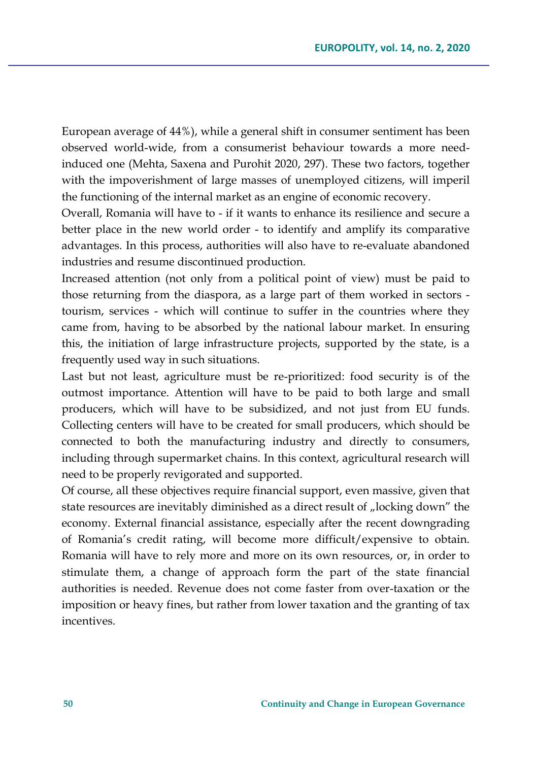European average of 44%), while a general shift in consumer sentiment has been observed world-wide, from a consumerist behaviour towards a more needinduced one (Mehta, Saxena and Purohit 2020, 297). These two factors, together with the impoverishment of large masses of unemployed citizens, will imperil the functioning of the internal market as an engine of economic recovery.

Overall, Romania will have to - if it wants to enhance its resilience and secure a better place in the new world order - to identify and amplify its comparative advantages. In this process, authorities will also have to re-evaluate abandoned industries and resume discontinued production.

Increased attention (not only from a political point of view) must be paid to those returning from the diaspora, as a large part of them worked in sectors tourism, services - which will continue to suffer in the countries where they came from, having to be absorbed by the national labour market. In ensuring this, the initiation of large infrastructure projects, supported by the state, is a frequently used way in such situations.

Last but not least, agriculture must be re-prioritized: food security is of the outmost importance. Attention will have to be paid to both large and small producers, which will have to be subsidized, and not just from EU funds. Collecting centers will have to be created for small producers, which should be connected to both the manufacturing industry and directly to consumers, including through supermarket chains. In this context, agricultural research will need to be properly revigorated and supported.

Of course, all these objectives require financial support, even massive, given that state resources are inevitably diminished as a direct result of "locking down" the economy. External financial assistance, especially after the recent downgrading of Romania's credit rating, will become more difficult/expensive to obtain. Romania will have to rely more and more on its own resources, or, in order to stimulate them, a change of approach form the part of the state financial authorities is needed. Revenue does not come faster from over-taxation or the imposition or heavy fines, but rather from lower taxation and the granting of tax incentives.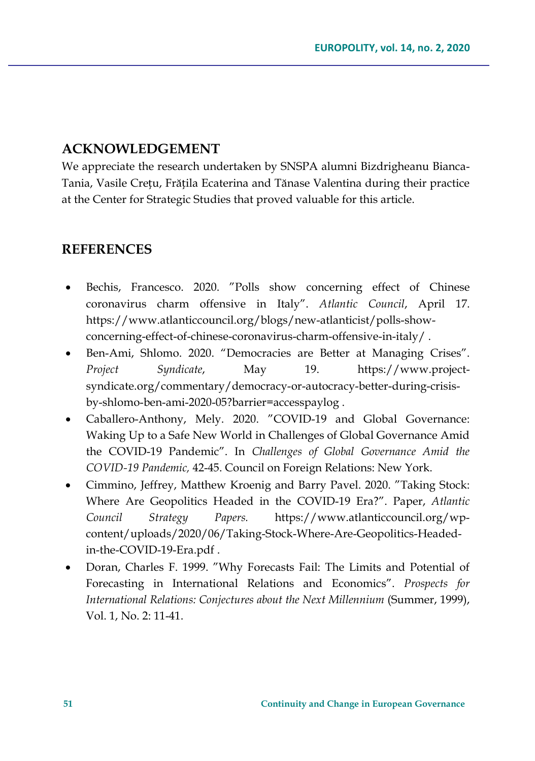## **ACKNOWLEDGEMENT**

We appreciate the research undertaken by SNSPA alumni Bizdrigheanu Bianca-Tania, Vasile Crețu, Frățila Ecaterina and Tănase Valentina during their practice at the Center for Strategic Studies that proved valuable for this article.

### **REFERENCES**

- Bechis, Francesco. 2020. "Polls show concerning effect of Chinese coronavirus charm offensive in Italy". *Atlantic Council*, April 17. https://www.atlanticcouncil.org/blogs/new-atlanticist/polls-showconcerning-effect-of-chinese-coronavirus-charm-offensive-in-italy/ .
- Ben-Ami, Shlomo. 2020. "Democracies are Better at Managing Crises". *Project Syndicate*, May 19. https://www.projectsyndicate.org/commentary/democracy-or-autocracy-better-during-crisisby-shlomo-ben-ami-2020-05?barrier=accesspaylog .
- Caballero-Anthony, Mely. 2020. "COVID-19 and Global Governance: Waking Up to a Safe New World in Challenges of Global Governance Amid the COVID-19 Pandemic". In *Challenges of Global Governance Amid the COVID-19 Pandemic,* 42-45. Council on Foreign Relations: New York.
- Cimmino, Jeffrey, Matthew Kroenig and Barry Pavel. 2020. "Taking Stock: Where Are Geopolitics Headed in the COVID-19 Era?". Paper, *Atlantic Council Strategy Papers.* https://www.atlanticcouncil.org/wpcontent/uploads/2020/06/Taking-Stock-Where-Are-Geopolitics-Headedin-the-COVID-19-Era.pdf .
- Doran, Charles F. 1999. "Why Forecasts Fail: The Limits and Potential of Forecasting in International Relations and Economics". *Prospects for International Relations: Conjectures about the Next Millennium* (Summer, 1999), Vol. 1, No. 2: 11-41.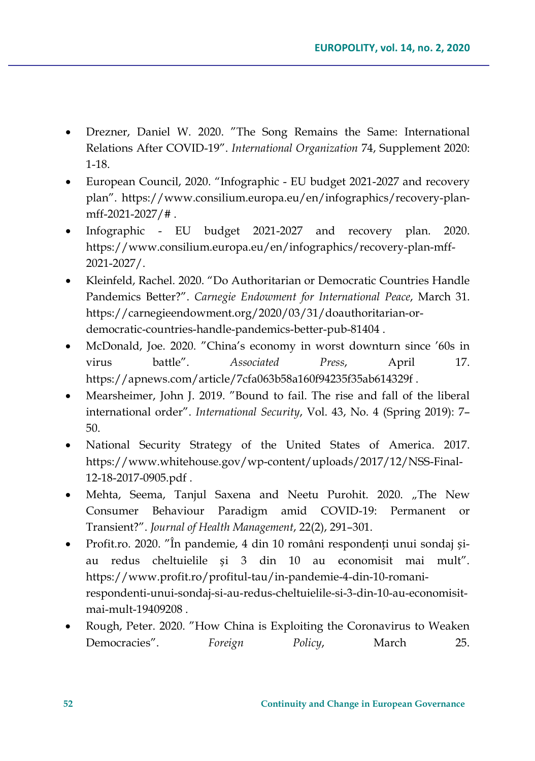- Drezner, Daniel W. 2020. "The Song Remains the Same: International Relations After COVID-19". *International Organization* 74, Supplement 2020: 1-18.
- European Council, 2020. "Infographic EU budget 2021-2027 and recovery plan". https://www.consilium.europa.eu/en/infographics/recovery-planmff-2021-2027/# .
- Infographic EU budget 2021-2027 and recovery plan. 2020. https://www.consilium.europa.eu/en/infographics/recovery-plan-mff-2021-2027/.
- Kleinfeld, Rachel. 2020. "Do Authoritarian or Democratic Countries Handle Pandemics Better?". *Carnegie Endowment for International Peace*, March 31. [https://carnegieendowment.org/2020/03/31/doauthoritarian](https://carnegieendowment.org/2020/03/31/doauthoritarian-or-democratic-countries-handle-pandemics-better-pub-81404)-or[democratic](https://carnegieendowment.org/2020/03/31/doauthoritarian-or-democratic-countries-handle-pandemics-better-pub-81404)-countries-handle-pandemics-better-pub-81404 .
- McDonald, Joe. 2020. "China's economy in worst downturn since '60s in virus battle". *Associated Press*, April 17. <https://apnews.com/article/7cfa063b58a160f94235f35ab614329f> .
- Mearsheimer, John J. 2019. "Bound to fail. The rise and fall of the liberal international order". *International Security*, Vol. 43, No. 4 (Spring 2019): 7– 50.
- National Security Strategy of the United States of America. 2017. [https://www.whitehouse.gov/wp](https://www.whitehouse.gov/wp-content/uploads/2017/12/NSS-Final-12-18-2017-0905.pdf)-content/uploads/2017/12/NSS-Final-12-18-2017-[0905.pdf](https://www.whitehouse.gov/wp-content/uploads/2017/12/NSS-Final-12-18-2017-0905.pdf) .
- Mehta, Seema, Tanjul Saxena and Neetu Purohit. 2020. "The New Consumer Behaviour Paradigm amid COVID-19: Permanent or Transient?". *Journal of Health Management*, 22(2), 291–301.
- Profit.ro. 2020. "În pandemie, 4 din 10 români respondenți unui sondaj șiau redus cheltuielile și 3 din 10 au economisit mai mult". [https://www.profit.ro/profitul](https://www.profit.ro/profitul-tau/in-pandemie-4-din-10-romani-respondenti-unui-sondaj-si-au-redus-cheltuielile-si-3-din-10-au-economisit-mai-mult-19409208)-tau/in-pandemie-4-din-10-romani[respondenti](https://www.profit.ro/profitul-tau/in-pandemie-4-din-10-romani-respondenti-unui-sondaj-si-au-redus-cheltuielile-si-3-din-10-au-economisit-mai-mult-19409208)-unui-sondaj-si-au-redus-cheltuielile-si-3-din-10-au-economisitmai-mult-[19409208](https://www.profit.ro/profitul-tau/in-pandemie-4-din-10-romani-respondenti-unui-sondaj-si-au-redus-cheltuielile-si-3-din-10-au-economisit-mai-mult-19409208) .
- Rough, Peter. 2020. "How China is Exploiting the Coronavirus to Weaken Democracies". *Foreign Policy*, March 25.